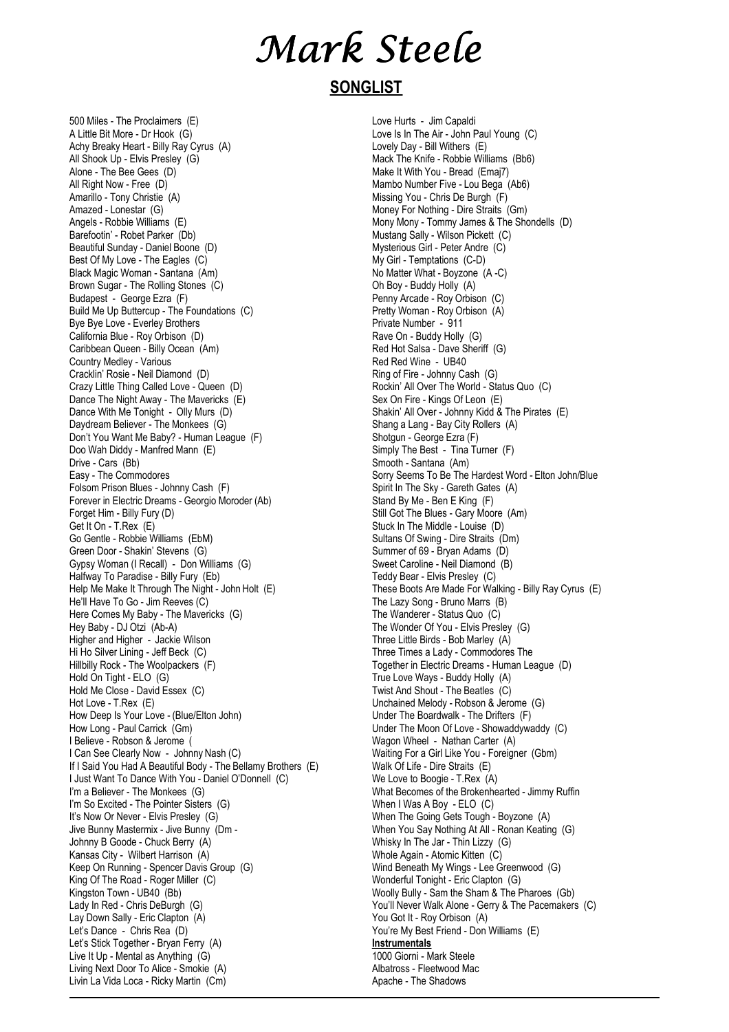## Mark Steele

### **SONGLIST**

500 Miles - The Proclaimers (E) A Little Bit More - Dr Hook (G) Achy Breaky Heart - Billy Ray Cyrus (A) All Shook Up - Elvis Presley (G) Alone - The Bee Gees (D) All Right Now - Free (D) Amarillo - Tony Christie (A) Amazed - Lonestar (G) Angels - Robbie Williams (E) Barefootin' - Robet Parker (Db) Beautiful Sunday - Daniel Boone (D) Best Of My Love - The Eagles (C) Black Magic Woman - Santana (Am) Brown Sugar - The Rolling Stones (C) Budapest - George Ezra (F) Build Me Up Buttercup - The Foundations (C) Bye Bye Love - Everley Brothers California Blue - Roy Orbison (D) Caribbean Queen - Billy Ocean (Am) Country Medley - Various Cracklin' Rosie - Neil Diamond (D) Crazy Little Thing Called Love - Queen (D) Dance The Night Away - The Mavericks (E) Dance With Me Tonight - Olly Murs (D) Daydream Believer - The Monkees (G) Don't You Want Me Baby? - Human League (F) Doo Wah Diddy - Manfred Mann (E) Drive - Cars (Bb) Easy - The Commodores Folsom Prison Blues - Johnny Cash (F) Forever in Electric Dreams - Georgio Moroder (Ab) Forget Him - Billy Fury (D) Get It On - T.Rex (E) Go Gentle - Robbie Williams (EbM) Green Door - Shakin' Stevens (G) Gypsy Woman (I Recall) - Don Williams (G) Halfway To Paradise - Billy Fury (Eb) Help Me Make It Through The Night - John Holt (E) He'll Have To Go - Jim Reeves (C) Here Comes My Baby - The Mavericks (G) Hey Baby - DJ Otzi (Ab-A) Higher and Higher - Jackie Wilson Hi Ho Silver Lining - Jeff Beck (C) Hillbilly Rock - The Woolpackers (F) Hold On Tight - ELO (G) Hold Me Close - David Essex (C) Hot Love - T.Rex (E) How Deep Is Your Love - (Blue/Elton John) How Long - Paul Carrick (Gm) I Believe - Robson & Jerome ( I Can See Clearly Now - Johnny Nash (C) If I Said You Had A Beautiful Body - The Bellamy Brothers (E) I Just Want To Dance With You - Daniel O'Donnell (C) I'm a Believer - The Monkees (G) I'm So Excited - The Pointer Sisters (G) It's Now Or Never - Elvis Presley (G) Jive Bunny Mastermix - Jive Bunny (Dm - Johnny B Goode - Chuck Berry (A) Kansas City - Wilbert Harrison (A) Keep On Running - Spencer Davis Group (G) King Of The Road - Roger Miller (C) Kingston Town - UB40 (Bb) Lady In Red - Chris DeBurgh (G) Lay Down Sally - Eric Clapton (A) Let's Dance - Chris Rea (D) Let's Stick Together - Bryan Ferry (A) Live It Up - Mental as Anything (G) Living Next Door To Alice - Smokie (A) Livin La Vida Loca - Ricky Martin (Cm)

Love Hurts - Jim Capaldi Love Is In The Air - John Paul Young (C) Lovely Day - Bill Withers (E) Mack The Knife - Robbie Williams (Bb6) Make It With You - Bread (Emaj7) Mambo Number Five - Lou Bega (Ab6) Missing You - Chris De Burgh (F) Money For Nothing - Dire Straits (Gm) Mony Mony - Tommy James & The Shondells (D) Mustang Sally - Wilson Pickett (C) Mysterious Girl - Peter Andre (C) My Girl - Temptations (C-D) No Matter What - Boyzone (A -C) Oh Boy - Buddy Holly (A) Penny Arcade - Roy Orbison (C) Pretty Woman - Roy Orbison (A) Private Number - 911 Rave On - Buddy Holly (G) Red Hot Salsa - Dave Sheriff (G) Red Red Wine - UB40 Ring of Fire - Johnny Cash (G) Rockin' All Over The World - Status Quo (C) Sex On Fire - Kings Of Leon (E) Shakin' All Over - Johnny Kidd & The Pirates (E) Shang a Lang - Bay City Rollers (A) Shotgun - George Ezra (F) Simply The Best - Tina Turner (F) Smooth - Santana (Am) Sorry Seems To Be The Hardest Word - Elton John/Blue Spirit In The Sky - Gareth Gates (A) Stand By Me - Ben E King (F) Still Got The Blues - Gary Moore (Am) Stuck In The Middle - Louise (D) Sultans Of Swing - Dire Straits (Dm) Summer of 69 - Bryan Adams (D) Sweet Caroline - Neil Diamond (B) Teddy Bear - Elvis Presley (C) These Boots Are Made For Walking - Billy Ray Cyrus (E) The Lazy Song - Bruno Marrs (B) The Wanderer - Status Quo (C) The Wonder Of You - Elvis Presley (G) Three Little Birds - Bob Marley (A) Three Times a Lady - Commodores The Together in Electric Dreams - Human League (D) True Love Ways - Buddy Holly (A) Twist And Shout - The Beatles (C) Unchained Melody - Robson & Jerome (G) Under The Boardwalk - The Drifters (F) Under The Moon Of Love - Showaddywaddy (C) Wagon Wheel - Nathan Carter (A) Waiting For a Girl Like You - Foreigner (Gbm) Walk Of Life - Dire Straits (E) We Love to Boogie - T.Rex (A) What Becomes of the Brokenhearted - Jimmy Ruffin When I Was A Boy - ELO (C) When The Going Gets Tough - Boyzone (A) When You Say Nothing At All - Ronan Keating (G) Whisky In The Jar - Thin Lizzy (G) Whole Again - Atomic Kitten (C) Wind Beneath My Wings - Lee Greenwood (G) Wonderful Tonight - Eric Clapton (G) Woolly Bully - Sam the Sham & The Pharoes (Gb) You'll Never Walk Alone - Gerry & The Pacemakers (C) You Got It - Roy Orbison (A) You're My Best Friend - Don Williams (E) **Instrumentals** 1000 Giorni - Mark Steele Albatross - Fleetwood Mac Apache - The Shadows